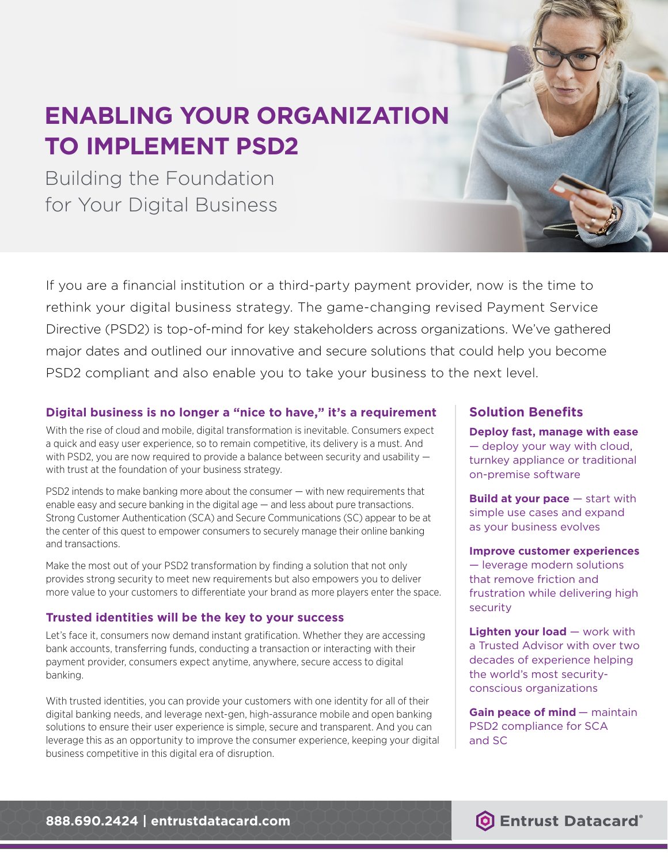# **ENABLING YOUR ORGANIZATION TO IMPLEMENT PSD2**

Building the Foundation for Your Digital Business

If you are a financial institution or a third-party payment provider, now is the time to rethink your digital business strategy. The game-changing revised Payment Service Directive (PSD2) is top-of-mind for key stakeholders across organizations. We've gathered major dates and outlined our innovative and secure solutions that could help you become PSD2 compliant and also enable you to take your business to the next level.

#### **Digital business is no longer a "nice to have," it's a requirement**

With the rise of cloud and mobile, digital transformation is inevitable. Consumers expect a quick and easy user experience, so to remain competitive, its delivery is a must. And with PSD2, you are now required to provide a balance between security and usability  $$ with trust at the foundation of your business strategy.

PSD2 intends to make banking more about the consumer — with new requirements that enable easy and secure banking in the digital age — and less about pure transactions. Strong Customer Authentication (SCA) and Secure Communications (SC) appear to be at the center of this quest to empower consumers to securely manage their online banking and transactions.

Make the most out of your PSD2 transformation by finding a solution that not only provides strong security to meet new requirements but also empowers you to deliver more value to your customers to differentiate your brand as more players enter the space.

### **Trusted identities will be the key to your success**

Let's face it, consumers now demand instant gratification. Whether they are accessing bank accounts, transferring funds, conducting a transaction or interacting with their payment provider, consumers expect anytime, anywhere, secure access to digital banking.

With trusted identities, you can provide your customers with one identity for all of their digital banking needs, and leverage next-gen, high-assurance mobile and open banking solutions to ensure their user experience is simple, secure and transparent. And you can leverage this as an opportunity to improve the consumer experience, keeping your digital business competitive in this digital era of disruption.

## **Solution Benefits**

**Deploy fast, manage with ease** — deploy your way with cloud, turnkey appliance or traditional on-premise software

**Build at your pace** — start with simple use cases and expand as your business evolves

**Improve customer experiences**

— leverage modern solutions that remove friction and frustration while delivering high security

**Lighten your load** — work with a Trusted Advisor with over two decades of experience helping the world's most securityconscious organizations

**Gain peace of mind** — maintain PSD2 compliance for SCA and SC

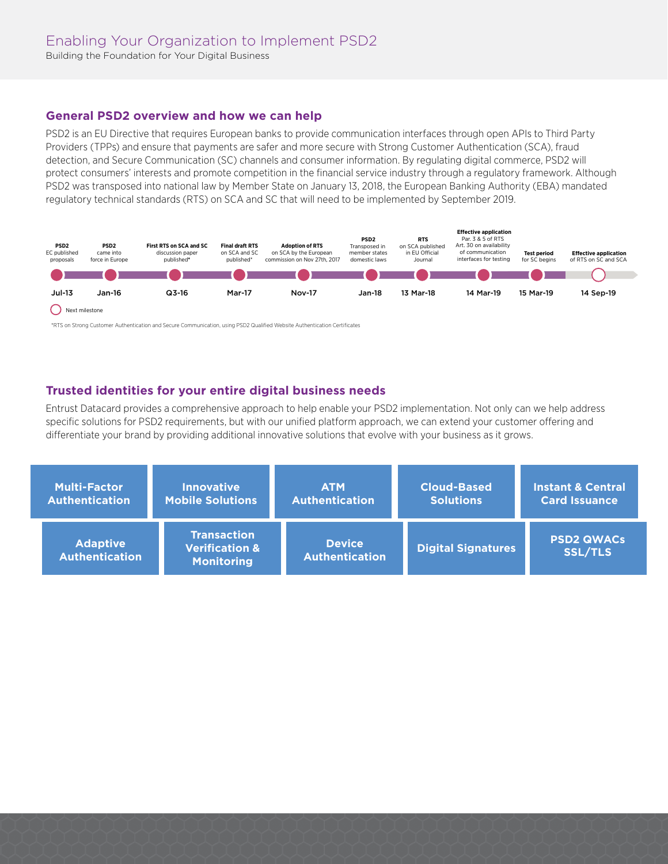#### **General PSD2 overview and how we can help**

PSD2 is an EU Directive that requires European banks to provide communication interfaces through open APIs to Third Party Providers (TPPs) and ensure that payments are safer and more secure with Strong Customer Authentication (SCA), fraud detection, and Secure Communication (SC) channels and consumer information. By regulating digital commerce, PSD2 will protect consumers' interests and promote competition in the financial service industry through a regulatory framework. Although PSD2 was transposed into national law by Member State on January 13, 2018, the European Banking Authority (EBA) mandated regulatory technical standards (RTS) on SCA and SC that will need to be implemented by September 2019.



\*RTS on Strong Customer Authentication and Secure Communication, using PSD2 Qualified Website Authentication Certificates

## **Trusted identities for your entire digital business needs**

Entrust Datacard provides a comprehensive approach to help enable your PSD2 implementation. Not only can we help address specific solutions for PSD2 requirements, but with our unified platform approach, we can extend your customer offering and differentiate your brand by providing additional innovative solutions that evolve with your business as it grows.

| <b>Multi-Factor</b>                      | <b>Innovative</b>                                                    | <b>ATM</b>                             | <b>Cloud-Based</b>        | <b>Instant &amp; Central</b> |
|------------------------------------------|----------------------------------------------------------------------|----------------------------------------|---------------------------|------------------------------|
| <b>Authentication</b>                    | <b>Mobile Solutions</b>                                              | <b>Authentication</b>                  | <b>Solutions</b>          | <b>Card Issuance</b>         |
| <b>Adaptive</b><br><b>Authentication</b> | <b>Transaction</b><br><b>Verification &amp;</b><br><b>Monitoring</b> | <b>Device</b><br><b>Authentication</b> | <b>Digital Signatures</b> |                              |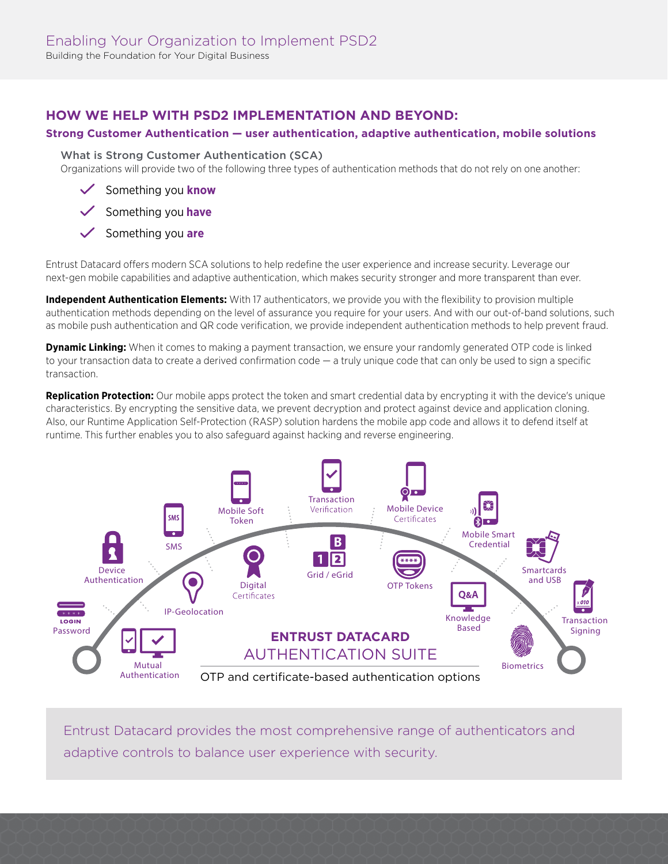# **HOW WE HELP WITH PSD2 IMPLEMENTATION AND BEYOND:**

#### **Strong Customer Authentication — user authentication, adaptive authentication, mobile solutions**

#### What is Strong Customer Authentication (SCA)

Organizations will provide two of the following three types of authentication methods that do not rely on one another:

- Something you **know**
- Something you **have**
- Something you **are**

Entrust Datacard offers modern SCA solutions to help redefine the user experience and increase security. Leverage our next-gen mobile capabilities and adaptive authentication, which makes security stronger and more transparent than ever.

**Independent Authentication Elements:** With 17 authenticators, we provide you with the flexibility to provision multiple authentication methods depending on the level of assurance you require for your users. And with our out-of-band solutions, such as mobile push authentication and QR code verification, we provide independent authentication methods to help prevent fraud.

**Dynamic Linking:** When it comes to making a payment transaction, we ensure your randomly generated OTP code is linked to your transaction data to create a derived confirmation code — a truly unique code that can only be used to sign a specific transaction.

**Replication Protection:** Our mobile apps protect the token and smart credential data by encrypting it with the device's unique characteristics. By encrypting the sensitive data, we prevent decryption and protect against device and application cloning. Also, our Runtime Application Self-Protection (RASP) solution hardens the mobile app code and allows it to defend itself at runtime. This further enables you to also safeguard against hacking and reverse engineering.



Entrust Datacard provides the most comprehensive range of authenticators and adaptive controls to balance user experience with security.